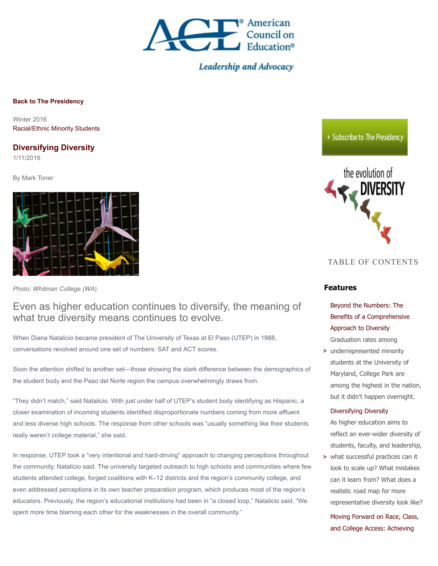

**Leadership and Advocacy** 

**[Back to The Presidency](http://www.acenet.edu/the-presidency)**

Winter 2016 [Racial/Ethnic Minority Students](http://www.acenet.edu/higher-education/topics/Pages/RacialEthnic-Minority-Students.aspx)

### **Diversifying Diversity**

1/11/2016

By Mark Toner



*Photo: Whitman College (WA).*

# Even as higher education continues to diversify, the meaning of what true diversity means continues to evolve.

When Diana Natalicio became president of The University of Texas at El Paso (UTEP) in 1988, conversations revolved around one set of numbers: SAT and ACT scores.

Soon the attention shifted to another set—those showing the stark difference between the demographics of the student body and the Paso del Norte region the campus overwhelmingly draws from.

"They didn't match," said Natalicio. With just under half of UTEP's student body identifying as Hispanic, a closer examination of incoming students identified disproportionate numbers coming from more affluent and less diverse high schools. The response from other schools was "usually something like their students really weren't college material," she said.

In response, UTEP took a "very intentional and hard-driving" approach to changing perceptions throughout the community, Natalicio said. The university targeted outreach to high schools and communities where few students attended college, forged coalitions with K–12 districts and the region's community college, and even addressed perceptions in its own teacher preparation program, which produces most of the region's educators. Previously, the region's educational institutions had been in "a closed loop," Natalicio said. "We spent more time blaming each other for the weaknesses in the overall community."

### ▶ Subscribe to The Presidency



### TABLE OF CONTENTS

### **Features**

Beyond the Numbers: The [Benefits of a Comprehensive](http://www.acenet.edu/the-presidency/columns-and-features/Pages/Beyond-the-Numbers-The-Benefits-of-a-Comprehensive-Approach-to-Diversity.aspx) Approach to Diversity Graduation rates among

**>** underrepresented minority students at the University of Maryland, College Park are among the highest in the nation, but it didn't happen overnight.

#### [Diversifying Diversity](http://www.acenet.edu/the-presidency/columns-and-features/Pages/Diversifying-Diversity.aspx)

As higher education aims to reflect an ever-wider diversity of students, faculty, and leadership,

what successful practices can it look to scale up? What mistakes can it learn from? What does a realistic road map for more representative diversity look like?

[Moving Forward on Race, Class,](http://www.acenet.edu/the-presidency/columns-and-features/Pages/Moving-Forward-on-Race-Class-and-College-Access.aspx) and College Access: Achieving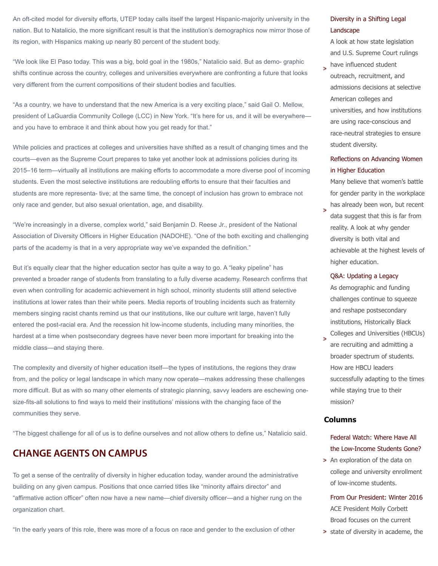An oft-cited model for diversity efforts, UTEP today calls itself the largest Hispanic-majority university in the nation. But to Natalicio, the more significant result is that the institution's demographics now mirror those of its region, with Hispanics making up nearly 80 percent of the student body.

"We look like El Paso today. This was a big, bold goal in the 1980s," Natalicio said. But as demo- graphic shifts continue across the country, colleges and universities everywhere are confronting a future that looks very different from the current compositions of their student bodies and faculties.

"As a country, we have to understand that the new America is a very exciting place," said Gail O. Mellow, president of LaGuardia Community College (LCC) in New York. "It's here for us, and it will be everywhere and you have to embrace it and think about how you get ready for that."

While policies and practices at colleges and universities have shifted as a result of changing times and the courts—even as the Supreme Court prepares to take yet another look at admissions policies during its 2015–16 term—virtually all institutions are making efforts to accommodate a more diverse pool of incoming students. Even the most selective institutions are redoubling efforts to ensure that their faculties and students are more representa- tive; at the same time, the concept of inclusion has grown to embrace not only race and gender, but also sexual orientation, age, and disability.

"We're increasingly in a diverse, complex world," said Benjamin D. Reese Jr., president of the National Association of Diversity Officers in Higher Education (NADOHE). "One of the both exciting and challenging parts of the academy is that in a very appropriate way we've expanded the definition."

But it's equally clear that the higher education sector has quite a way to go. A "leaky pipeline" has prevented a broader range of students from translating to a fully diverse academy. Research confirms that even when controlling for academic achievement in high school, minority students still attend selective institutions at lower rates than their white peers. Media reports of troubling incidents such as fraternity members singing racist chants remind us that our institutions, like our culture writ large, haven't fully entered the post-racial era. And the recession hit low-income students, including many minorities, the hardest at a time when postsecondary degrees have never been more important for breaking into the middle class—and staying there.

The complexity and diversity of higher education itself—the types of institutions, the regions they draw from, and the policy or legal landscape in which many now operate—makes addressing these challenges more difficult. But as with so many other elements of strategic planning, savvy leaders are eschewing onesize-fits-all solutions to find ways to meld their institutions' missions with the changing face of the communities they serve.

"The biggest challenge for all of us is to define ourselves and not allow others to define us," Natalicio said.

# **CHANGE AGENTS ON CAMPUS**

To get a sense of the centrality of diversity in higher education today, wander around the administrative building on any given campus. Positions that once carried titles like "minority affairs director" and "affirmative action officer" often now have a new name—chief diversity officer—and a higher rung on the organization chart.

"In the early years of this role, there was more of a focus on race and gender to the exclusion of other

### [Diversity in a Shifting Legal](http://www.acenet.edu/the-presidency/columns-and-features/Pages/Moving-Forward-on-Race-Class-and-College-Access.aspx) Landscape

A look at how state legislation and U.S. Supreme Court rulings

have influenced student outreach, recruitment, and admissions decisions at selective American colleges and universities, and how institutions are using race-conscious and race-neutral strategies to ensure student diversity.

### [Reflections on Advancing Women](http://www.acenet.edu/the-presidency/columns-and-features/Pages/Reflections-on-Advancing-Women-in-Higher-Education.aspx) in Higher Education

Many believe that women's battle for gender parity in the workplace has already been won, but recent

data suggest that this is far from reality. A look at why gender diversity is both vital and achievable at the highest levels of higher education.

#### [Q&A: Updating a Legacy](http://www.acenet.edu/the-presidency/columns-and-features/Pages/QA-Updating-a-Legacy.aspx)

As demographic and funding challenges continue to squeeze and reshape postsecondary institutions, Historically Black

Colleges and Universities (HBCUs) are recruiting and admitting a broader spectrum of students. How are HBCU leaders successfully adapting to the times while staying true to their mission?

#### **Columns**

### Federal Watch: Where Have All [the Low-Income Students Gone?](http://www.acenet.edu/the-presidency/columns-and-features/Pages/Federal-Watch-Where-Have-All-the-Low-Income-Students-Gone.aspx)

> An exploration of the data on college and university enrollment of low-income students.

[From Our President: Winter 2016](http://www.acenet.edu/the-presidency/columns-and-features/Pages/From-Our-President-Winter-2016.aspx) ACE President Molly Corbett Broad focuses on the current

**>** state of diversity in academe, the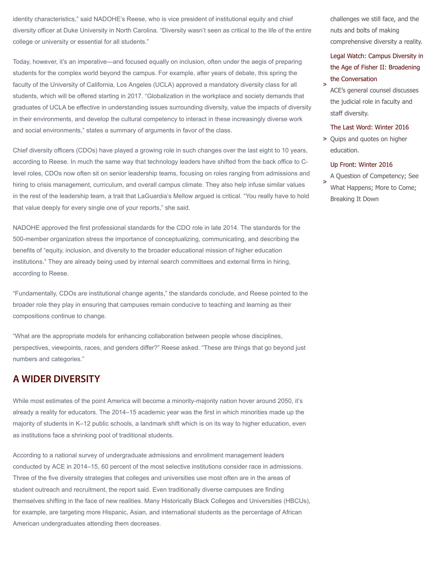identity characteristics," said NADOHE's Reese, who is vice president of institutional equity and chief diversity officer at Duke University in North Carolina. "Diversity wasn't seen as critical to the life of the entire college or university or essential for all students."

Today, however, it's an imperative—and focused equally on inclusion, often under the aegis of preparing students for the complex world beyond the campus. For example, after years of debate, this spring the faculty of the University of California, Los Angeles (UCLA) approved a mandatory diversity class for all students, which will be offered starting in 2017. "Globalization in the workplace and society demands that graduates of UCLA be effective in understanding issues surrounding diversity, value the impacts of diversity in their environments, and develop the cultural competency to interact in these increasingly diverse work and social environments," states a summary of arguments in favor of the class.

Chief diversity officers (CDOs) have played a growing role in such changes over the last eight to 10 years, according to Reese. In much the same way that technology leaders have shifted from the back office to Clevel roles, CDOs now often sit on senior leadership teams, focusing on roles ranging from admissions and hiring to crisis management, curriculum, and overall campus climate. They also help infuse similar values in the rest of the leadership team, a trait that LaGuardia's Mellow argued is critical. "You really have to hold that value deeply for every single one of your reports," she said.

NADOHE approved the first professional standards for the CDO role in late 2014. The standards for the 500-member organization stress the importance of conceptualizing, communicating, and describing the benefits of "equity, inclusion, and diversity to the broader educational mission of higher education institutions." They are already being used by internal search committees and external firms in hiring, according to Reese.

"Fundamentally, CDOs are institutional change agents," the standards conclude, and Reese pointed to the broader role they play in ensuring that campuses remain conducive to teaching and learning as their compositions continue to change.

"What are the appropriate models for enhancing collaboration between people whose disciplines, perspectives, viewpoints, races, and genders differ?" Reese asked. "These are things that go beyond just numbers and categories."

# **A WIDER DIVERSITY**

While most estimates of the point America will become a minority-majority nation hover around 2050, it's already a reality for educators. The 2014–15 academic year was the first in which minorities made up the majority of students in K–12 public schools, a landmark shift which is on its way to higher education, even as institutions face a shrinking pool of traditional students.

According to a national survey of undergraduate admissions and enrollment management leaders conducted by ACE in 2014–15, 60 percent of the most selective institutions consider race in admissions. Three of the five diversity strategies that colleges and universities use most often are in the areas of student outreach and recruitment, the report said. Even traditionally diverse campuses are finding themselves shifting in the face of new realities. Many Historically Black Colleges and Universities (HBCUs), for example, are targeting more Hispanic, Asian, and international students as the percentage of African American undergraduates attending them decreases.

challenges we still face, and the nuts and bolts of making comprehensive diversity a reality.

## [Legal Watch: Campus Diversity in](http://www.acenet.edu/the-presidency/columns-and-features/Pages/Legal-Watch-Campus-Diversity-in-the-Age-of-Fisher-II-Broadening-the-Conversation.aspx) the Age of Fisher II: Broadening the Conversation

ACE's general counsel discusses the judicial role in faculty and staff diversity.

#### [The Last Word: Winter 2016](http://www.acenet.edu/the-presidency/columns-and-features/Pages/The-Last-Word-Winter-2016.aspx)

> Quips and quotes on higher education.

### [Up Front: Winter 2016](http://www.acenet.edu/the-presidency/columns-and-features/Pages/Up-Front-Winter-2016.aspx)

A Question of Competency; See What Happens; More to Come; Breaking It Down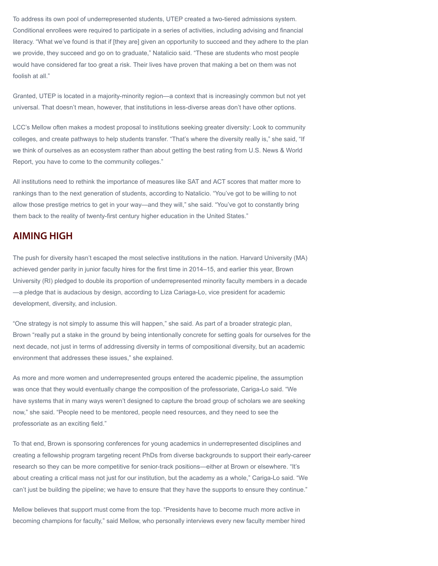To address its own pool of underrepresented students, UTEP created a two-tiered admissions system. Conditional enrollees were required to participate in a series of activities, including advising and financial literacy. "What we've found is that if [they are] given an opportunity to succeed and they adhere to the plan we provide, they succeed and go on to graduate," Natalicio said. "These are students who most people would have considered far too great a risk. Their lives have proven that making a bet on them was not foolish at all."

Granted, UTEP is located in a majority-minority region—a context that is increasingly common but not yet universal. That doesn't mean, however, that institutions in less-diverse areas don't have other options.

LCC's Mellow often makes a modest proposal to institutions seeking greater diversity: Look to community colleges, and create pathways to help students transfer. "That's where the diversity really is," she said, "If we think of ourselves as an ecosystem rather than about getting the best rating from U.S. News & World Report, you have to come to the community colleges."

All institutions need to rethink the importance of measures like SAT and ACT scores that matter more to rankings than to the next generation of students, according to Natalicio. "You've got to be willing to not allow those prestige metrics to get in your way—and they will," she said. "You've got to constantly bring them back to the reality of twenty-first century higher education in the United States."

# **AIMING HIGH**

The push for diversity hasn't escaped the most selective institutions in the nation. Harvard University (MA) achieved gender parity in junior faculty hires for the first time in 2014–15, and earlier this year, Brown University (RI) pledged to double its proportion of underrepresented minority faculty members in a decade —a pledge that is audacious by design, according to Liza Cariaga-Lo, vice president for academic development, diversity, and inclusion.

"One strategy is not simply to assume this will happen," she said. As part of a broader strategic plan, Brown "really put a stake in the ground by being intentionally concrete for setting goals for ourselves for the next decade, not just in terms of addressing diversity in terms of compositional diversity, but an academic environment that addresses these issues," she explained.

As more and more women and underrepresented groups entered the academic pipeline, the assumption was once that they would eventually change the composition of the professoriate, Cariga-Lo said. "We have systems that in many ways weren't designed to capture the broad group of scholars we are seeking now," she said. "People need to be mentored, people need resources, and they need to see the professoriate as an exciting field."

To that end, Brown is sponsoring conferences for young academics in underrepresented disciplines and creating a fellowship program targeting recent PhDs from diverse backgrounds to support their early-career research so they can be more competitive for senior-track positions—either at Brown or elsewhere. "It's about creating a critical mass not just for our institution, but the academy as a whole," Cariga-Lo said. "We can't just be building the pipeline; we have to ensure that they have the supports to ensure they continue."

Mellow believes that support must come from the top. "Presidents have to become much more active in becoming champions for faculty," said Mellow, who personally interviews every new faculty member hired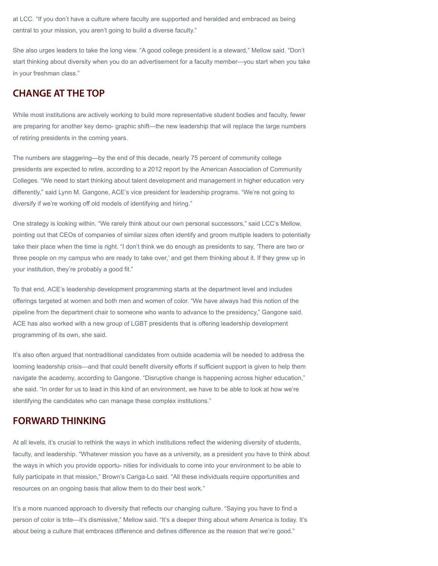at LCC. "If you don't have a culture where faculty are supported and heralded and embraced as being central to your mission, you aren't going to build a diverse faculty."

She also urges leaders to take the long view. "A good college president is a steward," Mellow said. "Don't start thinking about diversity when you do an advertisement for a faculty member—you start when you take in your freshman class."

# **CHANGE AT THE TOP**

While most institutions are actively working to build more representative student bodies and faculty, fewer are preparing for another key demo- graphic shift—the new leadership that will replace the large numbers of retiring presidents in the coming years.

The numbers are staggering—by the end of this decade, nearly 75 percent of community college presidents are expected to retire, according to a 2012 report by the American Association of Community Colleges. "We need to start thinking about talent development and management in higher education very differently," said Lynn M. Gangone, ACE's vice president for leadership programs. "We're not going to diversify if we're working off old models of identifying and hiring."

One strategy is looking within. "We rarely think about our own personal successors," said LCC's Mellow, pointing out that CEOs of companies of similar sizes often identify and groom multiple leaders to potentially take their place when the time is right. "I don't think we do enough as presidents to say, 'There are two or three people on my campus who are ready to take over,' and get them thinking about it. If they grew up in your institution, they're probably a good fit."

To that end, ACE's leadership development programming starts at the department level and includes offerings targeted at women and both men and women of color. "We have always had this notion of the pipeline from the department chair to someone who wants to advance to the presidency," Gangone said. ACE has also worked with a new group of LGBT presidents that is offering leadership development programming of its own, she said.

It's also often argued that nontraditional candidates from outside academia will be needed to address the looming leadership crisis—and that could benefit diversity efforts if sufficient support is given to help them navigate the academy, according to Gangone. "Disruptive change is happening across higher education," she said. "In order for us to lead in this kind of an environment, we have to be able to look at how we're identifying the candidates who can manage these complex institutions."

# **FORWARD THINKING**

At all levels, it's crucial to rethink the ways in which institutions reflect the widening diversity of students, faculty, and leadership. "Whatever mission you have as a university, as a president you have to think about the ways in which you provide opportu- nities for individuals to come into your environment to be able to fully participate in that mission," Brown's Cariga-Lo said. "All these individuals require opportunities and resources on an ongoing basis that allow them to do their best work."

It's a more nuanced approach to diversity that reflects our changing culture. "Saying you have to find a person of color is trite—it's dismissive," Mellow said. "It's a deeper thing about where America is today. It's about being a culture that embraces difference and defines difference as the reason that we're good."